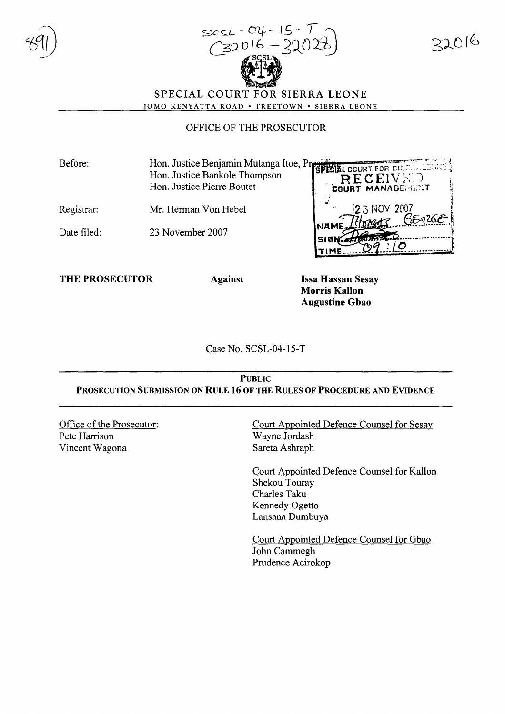

 $ScscL - \mathcal{O}l - 15$ *C3?-olb* -~~O~~ SPECIAL COURT FOR SIERRA LEONE

 $0.16$ 

JOMO KENYATTA ROAD · FREETOWN · SIERRA LEONE

OFFICE OF THE PROSECUTOR

Mr. Herman Von Hebel Before: Registrar: Hon. Justice Benjamin Mutanga !toe, Pli . . URI FOR"rT .. ~··,''':;':,~··~l . 9PE!:1 <sup>L</sup>CO ., '-' '. , ,--~. ,- " Hon. Justice Bankole Thompson Hon. Justice Pierre Boutet CouRT MANAGEI  $\sim$  23 NOV 2007

23 November 2007 Date filed:

THE PROSECUTOR Against Issa Hassan Sesay Morris Kallon Augustine Gbao

 $NAME$  $HDR45$   $GEn20E$ 

SIGN-66 WITH A DECISION OF THE CONTRACTOR TIME 09 /0

Case No. SCSL-04-l5-T

PUBLIC PROSECUTION SUBMISSION ON RULE 16 OF THE RULES OF PROCEDURE AND EVIDENCE

Office of the Prosecutor: Pete Harrison Vincent Wagona

Court Appointed Defence Counsel for Sesay Wayne Jordash Sareta Ashraph

Court Appointed Defence Counsel for Kallon Shekou Touray Charles Taku Kennedy Ogetto Lansana Dumbuya

Court Appointed Defence Counsel for Gbao John Cammegh Prudence Acirokop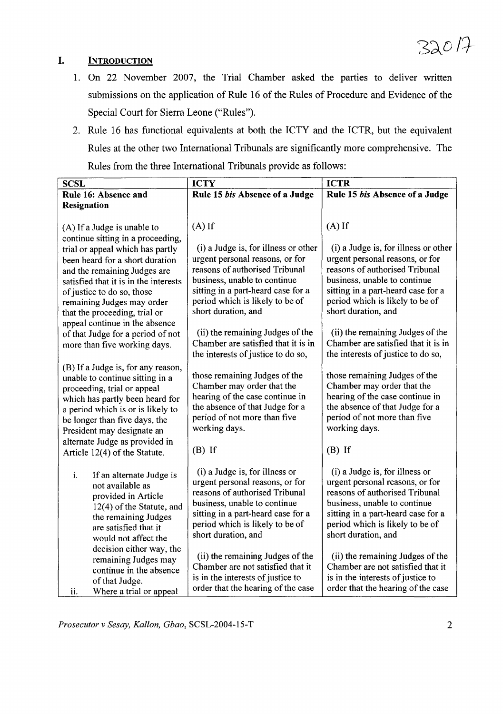#### I. **INTRODUCTION**

- 1. On 22 November 2007, the Trial Chamber asked the parties to deliver written submissions on the application of Rule 16 of the Rules of Procedure and Evidence of the Special Court for Sierra Leone ("Rules").
- 2. Rule 16 has functional equivalents at both the ICTY and the ICTR, but the equivalent Rules at the other two International Tribunals are significantly more comprehensive. The Rules from the three International Tribunals provide as follows:

| <b>SCSL</b>                                                          | <b>ICTY</b>                                                        | <b>ICTR</b>                                                        |
|----------------------------------------------------------------------|--------------------------------------------------------------------|--------------------------------------------------------------------|
| Rule 16: Absence and                                                 | Rule 15 bis Absence of a Judge                                     | Rule 15 bis Absence of a Judge                                     |
| Resignation                                                          |                                                                    |                                                                    |
| (A) If a Judge is unable to                                          | $(A)$ If                                                           | $(A)$ If                                                           |
| continue sitting in a proceeding,                                    |                                                                    |                                                                    |
| trial or appeal which has partly                                     | (i) a Judge is, for illness or other                               | (i) a Judge is, for illness or other                               |
| been heard for a short duration                                      | urgent personal reasons, or for                                    | urgent personal reasons, or for                                    |
| and the remaining Judges are                                         | reasons of authorised Tribunal                                     | reasons of authorised Tribunal                                     |
| satisfied that it is in the interests                                | business, unable to continue<br>sitting in a part-heard case for a | business, unable to continue<br>sitting in a part-heard case for a |
| of justice to do so, those<br>remaining Judges may order             | period which is likely to be of                                    | period which is likely to be of                                    |
| that the proceeding, trial or                                        | short duration, and                                                | short duration, and                                                |
| appeal continue in the absence                                       |                                                                    |                                                                    |
| of that Judge for a period of not                                    | (ii) the remaining Judges of the                                   | (ii) the remaining Judges of the                                   |
| more than five working days.                                         | Chamber are satisfied that it is in                                | Chamber are satisfied that it is in                                |
|                                                                      | the interests of justice to do so,                                 | the interests of justice to do so,                                 |
| (B) If a Judge is, for any reason,                                   |                                                                    |                                                                    |
| unable to continue sitting in a                                      | those remaining Judges of the<br>Chamber may order that the        | those remaining Judges of the<br>Chamber may order that the        |
| proceeding, trial or appeal                                          | hearing of the case continue in                                    | hearing of the case continue in                                    |
| which has partly been heard for<br>a period which is or is likely to | the absence of that Judge for a                                    | the absence of that Judge for a                                    |
| be longer than five days, the                                        | period of not more than five                                       | period of not more than five                                       |
| President may designate an                                           | working days.                                                      | working days.                                                      |
| alternate Judge as provided in                                       |                                                                    |                                                                    |
| Article 12(4) of the Statute.                                        | $(B)$ If                                                           | $(B)$ If                                                           |
|                                                                      | (i) a Judge is, for illness or                                     | (i) a Judge is, for illness or                                     |
| i.<br>If an alternate Judge is<br>not available as                   | urgent personal reasons, or for                                    | urgent personal reasons, or for                                    |
| provided in Article                                                  | reasons of authorised Tribunal                                     | reasons of authorised Tribunal                                     |
| 12(4) of the Statute, and                                            | business, unable to continue                                       | business, unable to continue                                       |
| the remaining Judges                                                 | sitting in a part-heard case for a                                 | sitting in a part-heard case for a                                 |
| are satisfied that it                                                | period which is likely to be of                                    | period which is likely to be of                                    |
| would not affect the                                                 | short duration, and                                                | short duration, and                                                |
| decision either way, the                                             | (ii) the remaining Judges of the                                   | (ii) the remaining Judges of the                                   |
| remaining Judges may<br>continue in the absence                      | Chamber are not satisfied that it                                  | Chamber are not satisfied that it                                  |
| of that Judge.                                                       | is in the interests of justice to                                  | is in the interests of justice to                                  |
| ii.<br>Where a trial or appeal                                       | order that the hearing of the case                                 | order that the hearing of the case                                 |

*Prosecutor* v *Sesay, Kallon, Gbao,* SCSL-2004-l5-T 2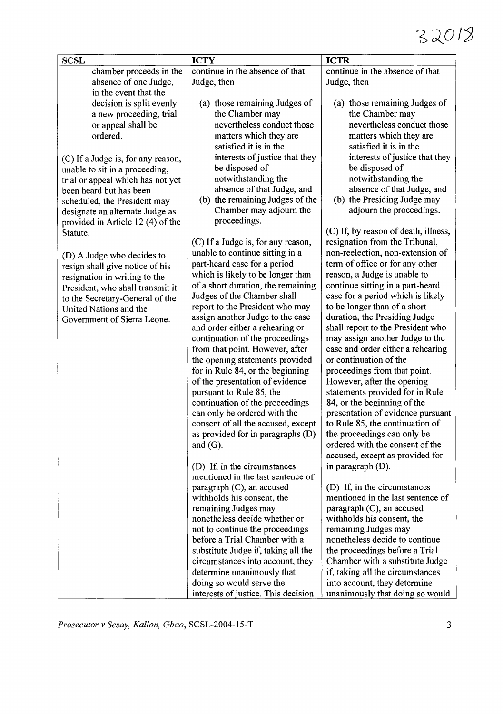## 32018

| <b>SCSL</b>                                           | <b>ICTY</b>                                                     | <b>ICTR</b>                                                         |
|-------------------------------------------------------|-----------------------------------------------------------------|---------------------------------------------------------------------|
| chamber proceeds in the                               | continue in the absence of that                                 | continue in the absence of that                                     |
| absence of one Judge,                                 | Judge, then                                                     | Judge, then                                                         |
| in the event that the                                 |                                                                 |                                                                     |
| decision is split evenly                              | (a) those remaining Judges of                                   | (a) those remaining Judges of                                       |
| a new proceeding, trial                               | the Chamber may                                                 | the Chamber may                                                     |
| or appeal shall be                                    | nevertheless conduct those                                      | nevertheless conduct those                                          |
| ordered.                                              | matters which they are                                          | matters which they are                                              |
|                                                       | satisfied it is in the                                          | satisfied it is in the                                              |
| (C) If a Judge is, for any reason,                    | interests of justice that they                                  | interests of justice that they                                      |
| unable to sit in a proceeding,                        | be disposed of                                                  | be disposed of                                                      |
| trial or appeal which has not yet                     | notwithstanding the                                             | notwithstanding the                                                 |
| been heard but has been                               | absence of that Judge, and                                      | absence of that Judge, and                                          |
| scheduled, the President may                          | (b) the remaining Judges of the                                 | (b) the Presiding Judge may                                         |
| designate an alternate Judge as                       | Chamber may adjourn the                                         | adjourn the proceedings.                                            |
| provided in Article 12 (4) of the                     | proceedings.                                                    |                                                                     |
| Statute.                                              |                                                                 | (C) If, by reason of death, illness,                                |
|                                                       | (C) If a Judge is, for any reason,                              | resignation from the Tribunal,                                      |
| (D) A Judge who decides to                            | unable to continue sitting in a<br>part-heard case for a period | non-reelection, non-extension of<br>term of office or for any other |
| resign shall give notice of his                       | which is likely to be longer than                               | reason, a Judge is unable to                                        |
| resignation in writing to the                         | of a short duration, the remaining                              | continue sitting in a part-heard                                    |
| President, who shall transmit it                      | Judges of the Chamber shall                                     | case for a period which is likely                                   |
| to the Secretary-General of the                       | report to the President who may                                 | to be longer than of a short                                        |
| United Nations and the<br>Government of Sierra Leone. | assign another Judge to the case                                | duration, the Presiding Judge                                       |
|                                                       | and order either a rehearing or                                 | shall report to the President who                                   |
|                                                       | continuation of the proceedings                                 | may assign another Judge to the                                     |
|                                                       | from that point. However, after                                 | case and order either a rehearing                                   |
|                                                       | the opening statements provided                                 | or continuation of the                                              |
|                                                       | for in Rule 84, or the beginning                                | proceedings from that point.                                        |
|                                                       | of the presentation of evidence                                 | However, after the opening                                          |
|                                                       | pursuant to Rule 85, the                                        | statements provided for in Rule                                     |
|                                                       | continuation of the proceedings                                 | 84, or the beginning of the                                         |
|                                                       | can only be ordered with the                                    | presentation of evidence pursuant                                   |
|                                                       | consent of all the accused, except                              | to Rule 85, the continuation of                                     |
|                                                       | as provided for in paragraphs (D)                               | the proceedings can only be                                         |
|                                                       | and $(G)$ .                                                     | ordered with the consent of the                                     |
|                                                       |                                                                 | accused, except as provided for                                     |
|                                                       | (D) If, in the circumstances                                    | in paragraph $(D)$ .                                                |
|                                                       | mentioned in the last sentence of                               |                                                                     |
|                                                       | paragraph $(C)$ , an accused                                    | (D) If, in the circumstances<br>mentioned in the last sentence of   |
|                                                       | withholds his consent, the                                      |                                                                     |
|                                                       | remaining Judges may<br>nonetheless decide whether or           | paragraph (C), an accused<br>withholds his consent, the             |
|                                                       | not to continue the proceedings                                 | remaining Judges may                                                |
|                                                       | before a Trial Chamber with a                                   | nonetheless decide to continue                                      |
|                                                       | substitute Judge if, taking all the                             | the proceedings before a Trial                                      |
|                                                       | circumstances into account, they                                | Chamber with a substitute Judge                                     |
|                                                       | determine unanimously that                                      | if, taking all the circumstances                                    |
|                                                       | doing so would serve the                                        | into account, they determine                                        |
|                                                       | interests of justice. This decision                             | unanimously that doing so would                                     |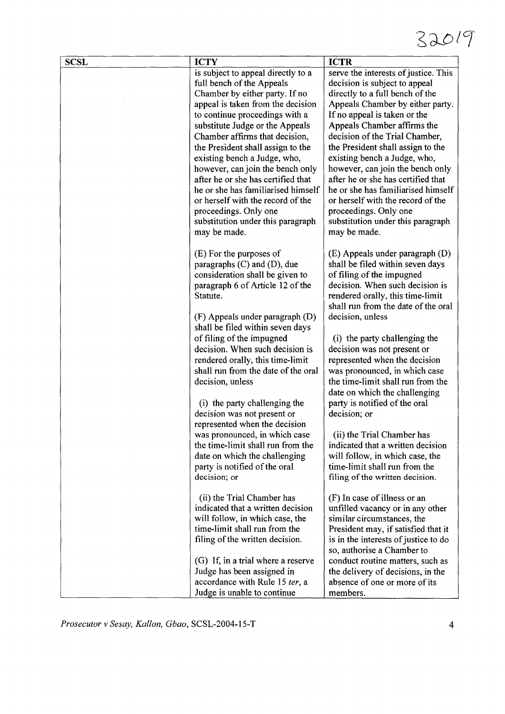## $32019$

| <b>SCSL</b> | <b>ICTY</b>                                                                                                                                                                                                                                                                                                                                                                                                                                                                                      | <b>ICTR</b>                                                                                                                                                                                                                                                                                                                                                                                                                                                                                      |
|-------------|--------------------------------------------------------------------------------------------------------------------------------------------------------------------------------------------------------------------------------------------------------------------------------------------------------------------------------------------------------------------------------------------------------------------------------------------------------------------------------------------------|--------------------------------------------------------------------------------------------------------------------------------------------------------------------------------------------------------------------------------------------------------------------------------------------------------------------------------------------------------------------------------------------------------------------------------------------------------------------------------------------------|
|             | is subject to appeal directly to a<br>full bench of the Appeals<br>Chamber by either party. If no<br>appeal is taken from the decision<br>to continue proceedings with a<br>substitute Judge or the Appeals<br>Chamber affirms that decision,<br>the President shall assign to the<br>existing bench a Judge, who,<br>however, can join the bench only<br>after he or she has certified that<br>he or she has familiarised himself<br>or herself with the record of the<br>proceedings. Only one | serve the interests of justice. This<br>decision is subject to appeal<br>directly to a full bench of the<br>Appeals Chamber by either party.<br>If no appeal is taken or the<br>Appeals Chamber affirms the<br>decision of the Trial Chamber,<br>the President shall assign to the<br>existing bench a Judge, who,<br>however, can join the bench only<br>after he or she has certified that<br>he or she has familiarised himself<br>or herself with the record of the<br>proceedings. Only one |
|             | substitution under this paragraph<br>may be made.                                                                                                                                                                                                                                                                                                                                                                                                                                                | substitution under this paragraph<br>may be made.                                                                                                                                                                                                                                                                                                                                                                                                                                                |
|             | (E) For the purposes of<br>paragraphs $(C)$ and $(D)$ , due<br>consideration shall be given to<br>paragraph 6 of Article 12 of the<br>Statute.<br>(F) Appeals under paragraph (D)<br>shall be filed within seven days                                                                                                                                                                                                                                                                            | (E) Appeals under paragraph (D)<br>shall be filed within seven days<br>of filing of the impugned<br>decision. When such decision is<br>rendered orally, this time-limit<br>shall run from the date of the oral<br>decision, unless                                                                                                                                                                                                                                                               |
|             | of filing of the impugned<br>decision. When such decision is<br>rendered orally, this time-limit<br>shall run from the date of the oral<br>decision, unless<br>(i) the party challenging the                                                                                                                                                                                                                                                                                                     | (i) the party challenging the<br>decision was not present or<br>represented when the decision<br>was pronounced, in which case<br>the time-limit shall run from the<br>date on which the challenging<br>party is notified of the oral                                                                                                                                                                                                                                                            |
|             | decision was not present or<br>represented when the decision<br>was pronounced, in which case<br>the time-limit shall run from the<br>date on which the challenging<br>party is notified of the oral<br>decision; or                                                                                                                                                                                                                                                                             | decision; or<br>(ii) the Trial Chamber has<br>indicated that a written decision<br>will follow, in which case, the<br>time-limit shall run from the<br>filing of the written decision.                                                                                                                                                                                                                                                                                                           |
|             | (ii) the Trial Chamber has<br>indicated that a written decision<br>will follow, in which case, the<br>time-limit shall run from the<br>filing of the written decision.<br>(G) If, in a trial where a reserve<br>Judge has been assigned in<br>accordance with Rule 15 ter, a                                                                                                                                                                                                                     | (F) In case of illness or an<br>unfilled vacancy or in any other<br>similar circumstances, the<br>President may, if satisfied that it<br>is in the interests of justice to do<br>so, authorise a Chamber to<br>conduct routine matters, such as<br>the delivery of decisions, in the<br>absence of one or more of its                                                                                                                                                                            |
|             | Judge is unable to continue                                                                                                                                                                                                                                                                                                                                                                                                                                                                      | members.                                                                                                                                                                                                                                                                                                                                                                                                                                                                                         |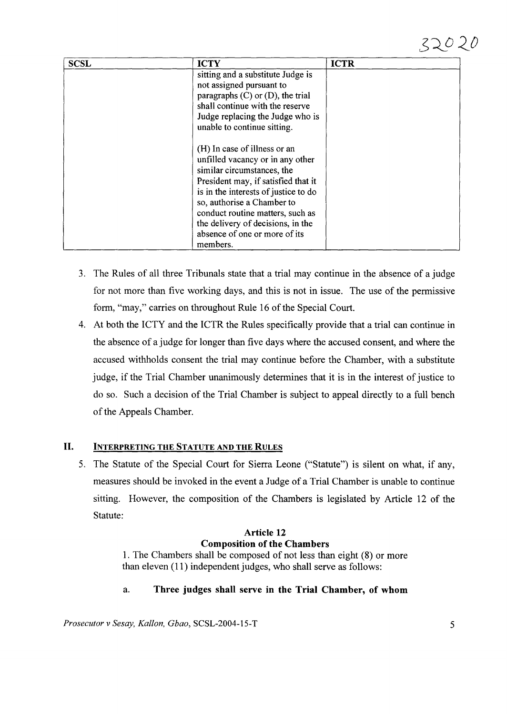| <b>SCSL</b> | <b>ICTY</b>                                                                                                                           | <b>ICTR</b> |
|-------------|---------------------------------------------------------------------------------------------------------------------------------------|-------------|
|             | sitting and a substitute Judge is                                                                                                     |             |
|             | not assigned pursuant to                                                                                                              |             |
|             | paragraphs $(C)$ or $(D)$ , the trial                                                                                                 |             |
|             | shall continue with the reserve                                                                                                       |             |
|             | Judge replacing the Judge who is                                                                                                      |             |
|             | unable to continue sitting.                                                                                                           |             |
|             | (H) In case of illness or an<br>unfilled vacancy or in any other<br>similar circumstances, the<br>President may, if satisfied that it |             |
|             | is in the interests of justice to do                                                                                                  |             |
|             | so, authorise a Chamber to                                                                                                            |             |
|             | conduct routine matters, such as                                                                                                      |             |
|             | the delivery of decisions, in the                                                                                                     |             |
|             | absence of one or more of its                                                                                                         |             |
|             | members.                                                                                                                              |             |

- 3. The Rules of all three Tribunals state that a trial may continue in the absence of a judge for not more than five working days, and this is not in issue. The use of the permissive form, "may," carries on throughout Rule 16 of the Special Court.
- 4. At both the ICTY and the ICTR the Rules specifically provide that a trial can continue in the absence of a judge for longer than five days where the accused consent, and where the accused withholds consent the trial may continue before the Chamber, with a substitute judge, if the Trial Chamber unanimously determines that it is in the interest of justice to do so. Such a decision of the Trial Chamber is subject to appeal directly to a full bench of the Appeals Chamber.

#### II. **INTERPRETING THE STATUTE AND THE RULES**

5. The Statute of the Special Court for Sierra Leone ("Statute") is silent on what, if any, measures should be invoked in the event a Judge of a Trial Chamber is unable to continue sitting. However, the composition of the Chambers is legislated by Article 12 of the Statute:

#### Article 12 Composition of the Chambers

1. The Chambers shall be composed of not less than eight (8) or more than eleven (11) independent judges, who shall serve as follows:

#### a. Three judges shall serve in the Trial Chamber, of whom

*Prosecutor v Sesay, Kallon, Gbao, SCSL-2004-15-T* 5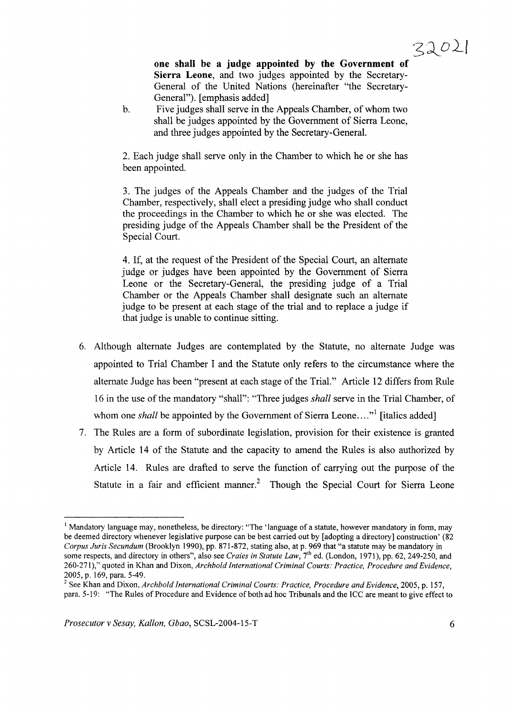**one shall be a judge appointed by the Government of Sierra Leone,** and two judges appointed by the Secretary-General of the United Nations (hereinafter "the Secretary-General"). [emphasis added]

b. Five judges shall serve in the Appeals Chamber, of whom two shall be judges appointed by the Government of Sierra Leone, and three judges appointed by the Secretary-General.

2. Each judge shall serve only in the Chamber to which he or she has been appointed.

3. The judges of the Appeals Chamber and the judges of the Trial Chamber, respectively, shall elect a presiding judge who shall conduct the proceedings in the Chamber to which he or she was elected. The presiding judge of the Appeals Chamber shall be the President of the Special Court.

4. If, at the request of the President of the Special Court, an alternate judge or judges have been appointed by the Government of Sierra Leone or the Secretary-General, the presiding judge of a Trial Chamber or the Appeals Chamber shall designate such an alternate judge to be present at each stage of the trial and to replace a judge if that judge is unable to continue sitting.

- 6. Although alternate Judges are contemplated by the Statute, no alternate Judge was appointed to Trial Chamber I and the Statute only refers to the circumstance where the alternate Judge has been "present at each stage of the Trial." Article 12 differs from Rule 16 in the use of the mandatory "shall": "Three judges *shall* serve in the Trial Chamber, of whom one *shall* be appointed by the Government of Sierra Leone...."<sup>1</sup> [italics added]
- 7. The Rules are a form of subordinate legislation, provision for their existence is granted by Article 14 of the Statute and the capacity to amend the Rules is also authorized by Article 14. Rules are drafted to serve the function of carrying out the purpose of the Statute in a fair and efficient manner.<sup>2</sup> Though the Special Court for Sierra Leone

<sup>&</sup>lt;sup>1</sup> Mandatory language may, nonetheless, be directory: "The 'language of a statute, however mandatory in form, may be deemed directory whenever legislative purpose can be best carried out by [adopting a directory] construction' (82 *Corpus Juris Secundum* (Brooklyn 1990), pp. 871-872, stating also, at p. 969 that "a statute may be mandatory in some respects, and directory in others", also see *Craies in Statute Law,* 7th ed. (London, 1971), pp. 62, 249-250, and 260-271)," quoted in Khan and Dixon, *Archbold International Criminal Courts: Practice, Procedure and Evidence,* 2005, p. 169, para. 5-49.

<sup>2</sup> See Khan and Dixon, *Archbold International Criminal Courts: Practice, Procedure and Evidence,* 2005, p. 157, para. 5-19: "The Rules of Procedure and Evidence of both ad hoc Tribunals and the ICC are meant to give effect to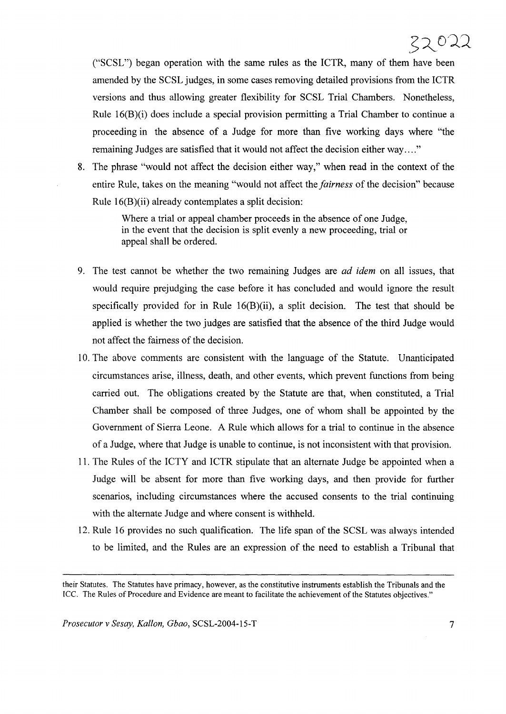### 32022

("SCSL") began operation with the same rules as the ICTR, many of them have been amended by the SCSL judges, in some cases removing detailed provisions from the ICTR versions and thus allowing greater flexibility for SCSL Trial Chambers. Nonetheless, Rule l6(B)(i) does include a special provision permitting a Trial Chamber to continue a proceeding in the absence of a Judge for more than five working days where "the remaining Judges are satisfied that it would not affect the decision either way...."

8. The phrase "would not affect the decision either way," when read in the context of the entire Rule, takes on the meaning "would not affect the *fairness* of the decision" because Rule l6(B)(ii) already contemplates a split decision:

> Where a trial or appeal chamber proceeds in the absence of one Judge, in the event that the decision is split evenly a new proceeding, trial or appeal shall be ordered.

- 9. The test cannot be whether the two remaining Judges are *ad idem* on all issues, that would require prejudging the case before it has concluded and would ignore the result specifically provided for in Rule 16(B)(ii), a split decision. The test that should be applied is whether the two judges are satisfied that the absence of the third Judge would not affect the fairness of the decision.
- 10. The above comments are consistent with the language of the Statute. Unanticipated circumstances arise, illness, death, and other events, which prevent functions from being carried out. The obligations created by the Statute are that, when constituted, a Trial Chamber shall be composed of three Judges, one of whom shall be appointed by the Government of Sierra Leone. A Rule which allows for a trial to continue in the absence of a Judge, where that Judge is unable to continue, is not inconsistent with that provision.
- 11. The Rules of the ICTY and ICTR stipulate that an alternate Judge be appointed when a Judge will be absent for more than five working days, and then provide for further scenarios, including circumstances where the accused consents to the trial continuing with the alternate Judge and where consent is withheld.
- 12. Rule 16 provides no such qualification. The life span of the SCSL was always intended to be limited, and the Rules are an expression of the need to establish a Tribunal that

their Statutes. The Statutes have primacy, however, as the constitutive instruments establish the Tribunals and the ICC. The Rules of Procedure and Evidence are meant to facilitate the achievement of the Statutes objectives."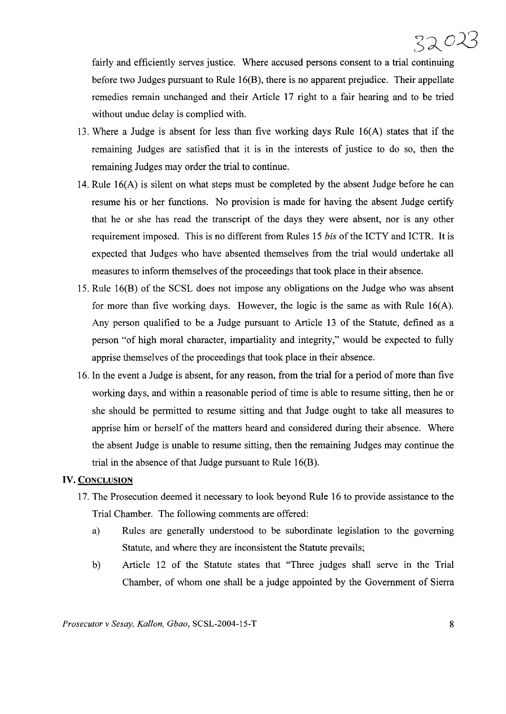fairly and efficiently serves justice. Where accused persons consent to a trial continuing before two Judges pursuant to Rule 16(B), there is no apparent prejudice. Their appellate remedies remain unchanged and their Article 17 right to a fair hearing and to be tried without undue delay is complied with.

- 13. Where a Judge is absent for less than five working days Rule l6(A) states that if the remaining Judges are satisfied that it is in the interests of justice to do so, then the remaining Judges may order the trial to continue.
- 14. Rule 16(A) is silent on what steps must be completed by the absent Judge before he can resume his or her functions. No provision is made for having the absent Judge certify that he or she has read the transcript of the days they were absent, nor is any other requirement imposed. This is no different from Rules 15 *bis* of the ICTY and ICTR. It is expected that Judges who have absented themselves from the trial would undertake all measures to inform themselves of the proceedings that took place in their absence.
- 15. Rule l6(B) of the SCSL does not impose any obligations on the Judge who was absent for more than five working days. However, the logic is the same as with Rule 16(A). Any person qualified to be a Judge pursuant to Article 13 of the Statute, defined as a person "of high moral character, impartiality and integrity," would be expected to fully apprise themselves of the proceedings that took place in their absence.
- 16. In the event a Judge is absent, for any reason, from the trial for a period of more than five working days, and within a reasonable period of time is able to resume sitting, then he or she should be permitted to resume sitting and that Judge ought to take all measures to apprise him or herself of the matters heard and considered during their absence. Where the absent Judge is unable to resume sitting, then the remaining Judges may continue the trial in the absence of that Judge pursuant to Rule  $16(B)$ .

#### **IV.** CONCLUSION

- 17. The Prosecution deemed it necessary to look beyond Rule 16 to provide assistance to the Trial Chamber. The following comments are offered:
	- a) Rules are generally understood to be subordinate legislation to the governing Statute, and where they are inconsistent the Statute prevails;
	- b) Article 12 of the Statute states that "Three judges shall serve in the Trial Chamber, of whom one shall be a judge appointed by the Government of Sierra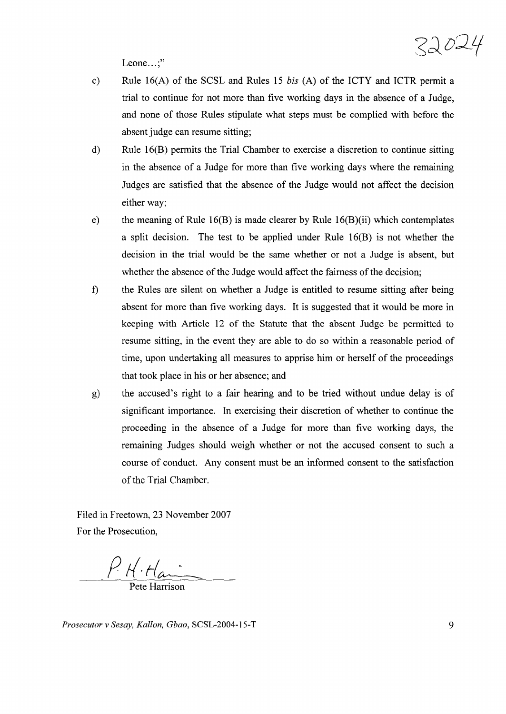

Leone...;"

- c) Rule 16(A) of the SCSL and Rules 15 *bis* (A) of the ICTY and ICTR permit a trial to continue for not more than five working days in the absence of a Judge, and none of those Rules stipulate what steps must be complied with before the absent judge can resume sitting;
- d) Rule 16(B) permits the Trial Chamber to exercise a discretion to continue sitting in the absence of a Judge for more than five working days where the remaining Judges are satisfied that the absence of the Judge would not affect the decision either way;
- e) the meaning of Rule  $16(B)$  is made clearer by Rule  $16(B)(ii)$  which contemplates a split decision. The test to be applied under Rule 16(B) is not whether the decision in the trial would be the same whether or not a Judge is absent, but whether the absence of the Judge would affect the fairness of the decision;
- t) the Rules are silent on whether a Judge is entitled to resume sitting after being absent for more than five working days. It is suggested that it would be more in keeping with Article 12 of the Statute that the absent Judge be permitted to resume sitting, in the event they are able to do so within a reasonable period of time, upon undertaking all measures to apprise him or herself of the proceedings that took place in his or her absence; and
- g) the accused's right to a fair hearing and to be tried without undue delay is of significant importance. In exercising their discretion of whether to continue the proceeding in the absence of a Judge for more than five working days, the remaining Judges should weigh whether or not the accused consent to such a course of conduct. Any consent must be an informed consent to the satisfaction of the Trial Chamber.

Filed in Freetown, 23 November 2007 For the Prosecution,

 $P$   $H \cdot H$ an

*Prosecutor* v *Sesay, Kallon, Gbao,* SCSL-2004-15-T 9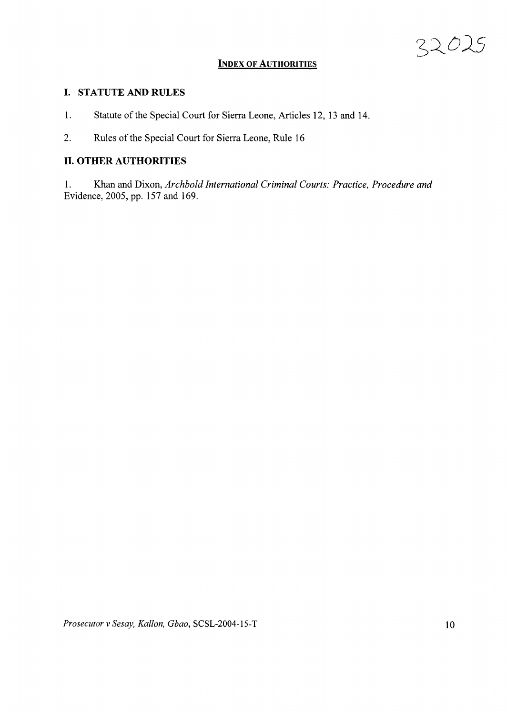32025

#### **INDEX OF AUTHORITIES**

#### **I. STATUTEANDRULES**

- 1. Statute of the Special Court for Sierra Leone, Articles 12, 13 and 14.
- 2. Rules of the Special Court for Sierra Leone, Rule 16

#### **II. OTHER AUTHORITIES**

1. Khan and Dixon, *Archbold International Criminal Courts: Practice, Procedure and* Evidence, 2005, pp. 157 and 169.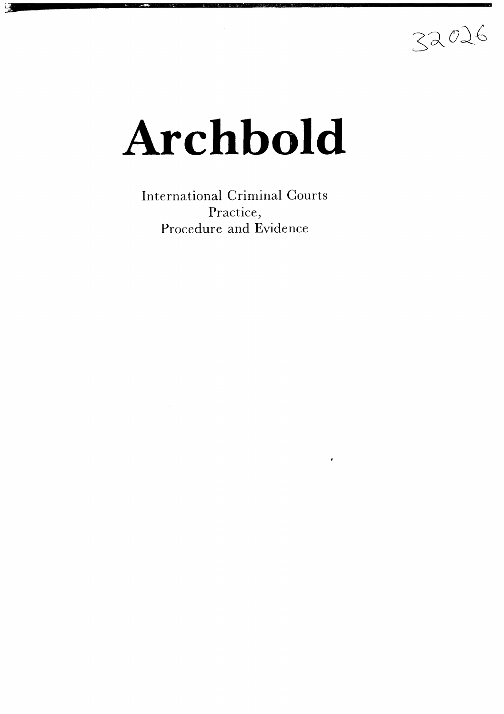32026

# **Archbold**

International Criminal Courts Practice, Procedure and Evidence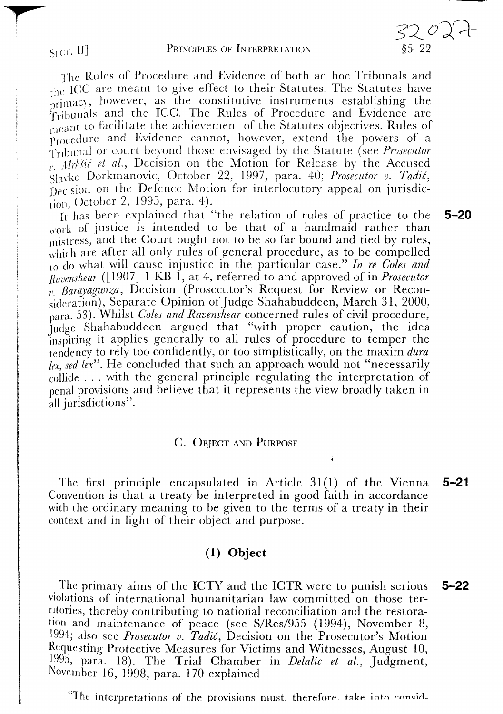$3202.$ §5-22

The Rules of Procedure and Evidence of both ad hoc Tribunals and the ICC are meant to give effect to their Statutes. The Statutes have primacy, however, as the constitutive instruments establishing the Tribunals and the ICC. The Rules of Procedure and Evidence are meant to facilitate the achievement of the Statutes objectives. Rules of procedure and Evidence cannot, however, extend the powers of a Tribunal or court beyond those envisaged by the Statute (see *Prosecutor*  $\overline{v}$ . *Mrkšić et al.*, Decision on the Motion for Release by the Accused Slavko Dorkmanovic, October 22, 1997, para. 40; *Prosecutor v. Tadic,*  $\overline{\text{Decision}}$  on the Defence Motion for interlocutory appeal on jurisdiction, October 2, 1995, para. 4).

It has been explained that "the relation of rules of practice to the **5-20** work of justice is intended to be that of a handmaid rather than mistress, and the Court ought not to be so far bound and tied by rules, which are after all only rules of general procedure, as to be compelled to do what will cause injustice in the particular case." *In re Coles and Rovenshear* ([ 1907J 1 KB 1, at 4, referred to and approved of in *Prosecutor* <sup>Z</sup>'. *Barayagwiza,* Decision (Prosecutor's Request for Review or Reconsideration), Separate Opinion of Judge Shahabuddeen, March 31, 2000, para. 53). Whilst *Coles and Ravenshear* concerned rules of civil procedure, Judge Shahabuddeen argued that "with proper caution, the idea inspiring it applies generally to all rules of procedure to temper the tendency to rely too confidently, or too simplistically, on the maxim *dura lex, sed lex".* He concluded that such an approach would not "necessarily collide ... with the general principle regulating the interpretation of penal provisions and believe that it represents the view broadly taken in all jurisdictions".

#### C. OBJECT AND PURPOSE

The first principle encapsulated in Article 31 (1) of the Vienna **5-21** Convention is that a treaty be interpreted in good faith in accordance with the ordinary meaning to be given to the terms of a treaty in their context and in light of their object and purpose.

#### **(1) Object**

The primary aims of the ICTY and the ICTR were to punish serious **5-22** violations of international humanitarian law committed on those territories, thereby contributing to national reconciliation and the restoration and maintenance of peace (see  $S/Res/955$  (1994), November 8, 1994; also see *Prosecutor v. Tadic,* Decision on the Prosecutor's Motion Requesting Protective Measures for Victims and Witnesses, August 10, 1995, para. 18). The Trial Chamber in *Delalic et al.,* Judgment, November 16, 1998, para. 170 explained

"The interpretations of the provisions must. therefore, take into consid-